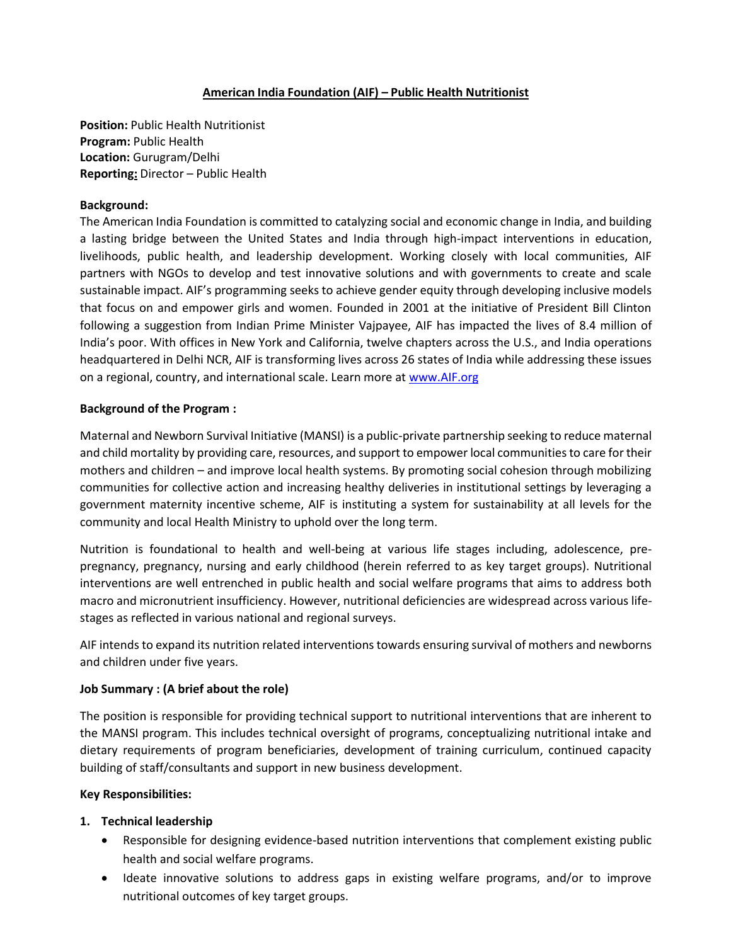### **American India Foundation (AIF) – Public Health Nutritionist**

**Position:** Public Health Nutritionist **Program:** Public Health **Location:** Gurugram/Delhi **Reporting:** Director – Public Health

#### **Background:**

The American India Foundation is committed to catalyzing social and economic change in India, and building a lasting bridge between the United States and India through high-impact interventions in education, livelihoods, public health, and leadership development. Working closely with local communities, AIF partners with NGOs to develop and test innovative solutions and with governments to create and scale sustainable impact. AIF's programming seeks to achieve gender equity through developing inclusive models that focus on and empower girls and women. Founded in 2001 at the initiative of President Bill Clinton following a suggestion from Indian Prime Minister Vajpayee, AIF has impacted the lives of 8.4 million of India's poor. With offices in New York and California, twelve chapters across the U.S., and India operations headquartered in Delhi NCR, AIF is transforming lives across 26 states of India while addressing these issues on a regional, country, and international scale. Learn more a[t www.AIF.org](http://www.aif.org/)

### **Background of the Program :**

Maternal and Newborn Survival Initiative (MANSI) is a public-private partnership seeking to reduce maternal and child mortality by providing care, resources, and support to empower local communities to care for their mothers and children – and improve local health systems. By promoting social cohesion through mobilizing communities for collective action and increasing healthy deliveries in institutional settings by leveraging a government maternity incentive scheme, AIF is instituting a system for sustainability at all levels for the community and local Health Ministry to uphold over the long term.

Nutrition is foundational to health and well-being at various life stages including, adolescence, prepregnancy, pregnancy, nursing and early childhood (herein referred to as key target groups). Nutritional interventions are well entrenched in public health and social welfare programs that aims to address both macro and micronutrient insufficiency. However, nutritional deficiencies are widespread across various lifestages as reflected in various national and regional surveys.

AIF intends to expand its nutrition related interventions towards ensuring survival of mothers and newborns and children under five years.

# **Job Summary : (A brief about the role)**

The position is responsible for providing technical support to nutritional interventions that are inherent to the MANSI program. This includes technical oversight of programs, conceptualizing nutritional intake and dietary requirements of program beneficiaries, development of training curriculum, continued capacity building of staff/consultants and support in new business development.

#### **Key Responsibilities:**

#### **1. Technical leadership**

- Responsible for designing evidence-based nutrition interventions that complement existing public health and social welfare programs.
- Ideate innovative solutions to address gaps in existing welfare programs, and/or to improve nutritional outcomes of key target groups.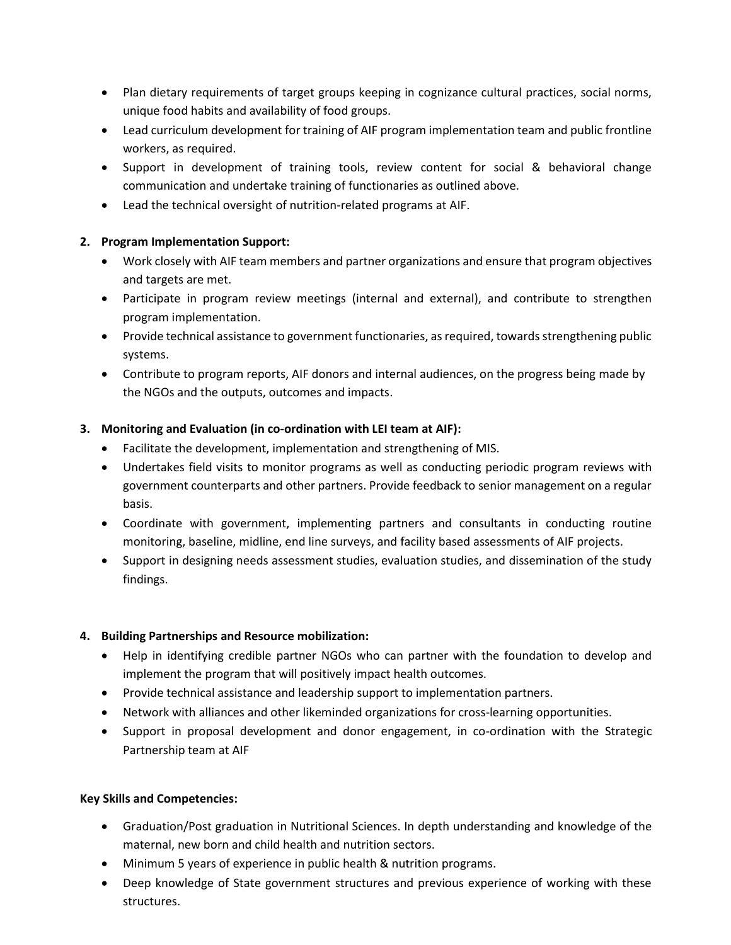- Plan dietary requirements of target groups keeping in cognizance cultural practices, social norms, unique food habits and availability of food groups.
- Lead curriculum development for training of AIF program implementation team and public frontline workers, as required.
- Support in development of training tools, review content for social & behavioral change communication and undertake training of functionaries as outlined above.
- Lead the technical oversight of nutrition-related programs at AIF.

# **2. Program Implementation Support:**

- Work closely with AIF team members and partner organizations and ensure that program objectives and targets are met.
- Participate in program review meetings (internal and external), and contribute to strengthen program implementation.
- Provide technical assistance to government functionaries, as required, towards strengthening public systems.
- Contribute to program reports, AIF donors and internal audiences, on the progress being made by the NGOs and the outputs, outcomes and impacts.

# **3. Monitoring and Evaluation (in co-ordination with LEI team at AIF):**

- Facilitate the development, implementation and strengthening of MIS.
- Undertakes field visits to monitor programs as well as conducting periodic program reviews with government counterparts and other partners. Provide feedback to senior management on a regular basis.
- Coordinate with government, implementing partners and consultants in conducting routine monitoring, baseline, midline, end line surveys, and facility based assessments of AIF projects.
- Support in designing needs assessment studies, evaluation studies, and dissemination of the study findings.

# **4. Building Partnerships and Resource mobilization:**

- Help in identifying credible partner NGOs who can partner with the foundation to develop and implement the program that will positively impact health outcomes.
- Provide technical assistance and leadership support to implementation partners.
- Network with alliances and other likeminded organizations for cross-learning opportunities.
- Support in proposal development and donor engagement, in co-ordination with the Strategic Partnership team at AIF

# **Key Skills and Competencies:**

- Graduation/Post graduation in Nutritional Sciences. In depth understanding and knowledge of the maternal, new born and child health and nutrition sectors.
- Minimum 5 years of experience in public health & nutrition programs.
- Deep knowledge of State government structures and previous experience of working with these structures.